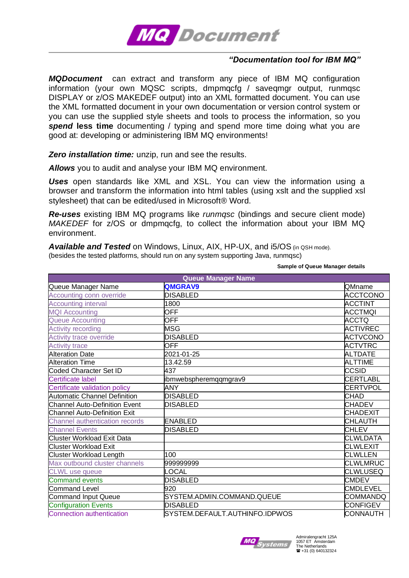

## *"Documentation tool for IBM MQ"*

*MQDocument* can extract and transform any piece of IBM MQ configuration information (your own MQSC scripts, dmpmqcfg / saveqmgr output, runmqsc DISPLAY or z/OS MAKEDEF output) into an XML formatted document. You can use the XML formatted document in your own documentation or version control system or you can use the supplied style sheets and tools to process the information, so you **spend less time** documenting / typing and spend more time doing what you are good at: developing or administering IBM MQ environments!

*Zero installation time:* unzip, run and see the results.

*Allows* you to audit and analyse your IBM MQ environment.

*Uses* open standards like XML and XSL. You can view the information using a browser and transform the information into html tables (using xslt and the supplied xsl stylesheet) that can be edited/used in Microsoft® Word.

*Re-uses* existing IBM MQ programs like *runmqsc* (bindings and secure client mode) *MAKEDEF* for z/OS or dmpmqcfg, to collect the information about your IBM MQ environment.

Available and Tested on Windows, Linux, AIX, HP-UX, and i5/OS (in QSH mode). (besides the tested platforms, should run on any system supporting Java, runmqsc)

 **Sample of Queue Manager details**

| <b>Queue Manager Name</b>             |                                |                 |  |  |  |  |  |  |  |
|---------------------------------------|--------------------------------|-----------------|--|--|--|--|--|--|--|
| Queue Manager Name                    | QMGRAV9                        | QMname          |  |  |  |  |  |  |  |
| Accounting conn override              | <b>DISABLED</b>                | <b>ACCTCONO</b> |  |  |  |  |  |  |  |
| <b>Accounting interval</b>            | 1800                           | ACCTINT         |  |  |  |  |  |  |  |
| <b>MQI Accounting</b>                 | <b>OFF</b>                     | <b>ACCTMQI</b>  |  |  |  |  |  |  |  |
| <b>Queue Accounting</b>               | <b>OFF</b>                     | ACCTQ           |  |  |  |  |  |  |  |
| <b>Activity recording</b>             | <b>MSG</b>                     | <b>ACTIVREC</b> |  |  |  |  |  |  |  |
| Activity trace override               | <b>DISABLED</b>                | <b>ACTVCONO</b> |  |  |  |  |  |  |  |
| <b>Activity trace</b>                 | <b>OFF</b>                     | <b>ACTVTRC</b>  |  |  |  |  |  |  |  |
| <b>Alteration Date</b>                | 2021-01-25                     | <b>ALTDATE</b>  |  |  |  |  |  |  |  |
| <b>Alteration Time</b>                | 13.42.59                       | ALTTIME         |  |  |  |  |  |  |  |
| Coded Character Set ID                | 437                            | CCSID           |  |  |  |  |  |  |  |
| Certificate label                     | ibmwebspheremqqmgrav9          | <b>CERTLABL</b> |  |  |  |  |  |  |  |
| Certificate validation policy         | <b>ANY</b>                     | <b>CERTVPOL</b> |  |  |  |  |  |  |  |
| Automatic Channel Definition          | <b>DISABLED</b>                | <b>CHAD</b>     |  |  |  |  |  |  |  |
| <b>Channel Auto-Definition Event</b>  | <b>DISABLED</b>                | <b>CHADEV</b>   |  |  |  |  |  |  |  |
| <b>Channel Auto-Definition Exit</b>   |                                | <b>CHADEXIT</b> |  |  |  |  |  |  |  |
| <b>Channel authentication records</b> | <b>ENABLED</b>                 | CHLAUTH         |  |  |  |  |  |  |  |
| <b>Channel Events</b>                 | <b>DISABLED</b>                | <b>CHLEV</b>    |  |  |  |  |  |  |  |
| <b>Cluster Workload Exit Data</b>     |                                | <b>CLWLDATA</b> |  |  |  |  |  |  |  |
| <b>Cluster Workload Exit</b>          |                                | <b>CLWLEXIT</b> |  |  |  |  |  |  |  |
| <b>Cluster Workload Length</b>        | 100                            | CLWLLEN         |  |  |  |  |  |  |  |
| Max outbound cluster channels         | 999999999                      | <b>CLWLMRUC</b> |  |  |  |  |  |  |  |
| <b>CLWL</b> use queue                 | <b>LOCAL</b>                   | <b>CLWLUSEQ</b> |  |  |  |  |  |  |  |
| <b>Command events</b>                 | <b>DISABLED</b>                | <b>CMDEV</b>    |  |  |  |  |  |  |  |
| <b>Command Level</b>                  | 920                            | <b>CMDLEVEL</b> |  |  |  |  |  |  |  |
| <b>Command Input Queue</b>            | SYSTEM.ADMIN.COMMAND.QUEUE     | <b>COMMANDQ</b> |  |  |  |  |  |  |  |
| <b>Configuration Events</b>           | <b>DISABLED</b>                | <b>CONFIGEV</b> |  |  |  |  |  |  |  |
| <b>Connection authentication</b>      | SYSTEM.DEFAULT.AUTHINFO.IDPWOS | <b>CONNAUTH</b> |  |  |  |  |  |  |  |

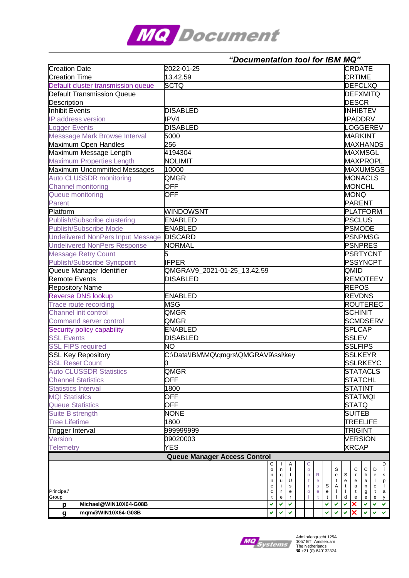

|                            |                                           |                                      |                              | "Documentation tool for IBM MQ" |        |        |        |              |              |                |                |                           |                                    |        |        |                   |  |  |
|----------------------------|-------------------------------------------|--------------------------------------|------------------------------|---------------------------------|--------|--------|--------|--------------|--------------|----------------|----------------|---------------------------|------------------------------------|--------|--------|-------------------|--|--|
| <b>Creation Date</b>       |                                           | 2022-01-25                           |                              |                                 |        |        |        |              |              |                |                |                           | <b>CRDATE</b>                      |        |        |                   |  |  |
| <b>Creation Time</b>       |                                           | 13.42.59                             |                              |                                 |        |        |        |              |              |                |                |                           | <b>CRTIME</b>                      |        |        |                   |  |  |
|                            | Default cluster transmission queue        | <b>SCTQ</b>                          |                              |                                 |        |        |        |              |              |                |                |                           | <b>DEFCLXQ</b>                     |        |        |                   |  |  |
|                            | <b>Default Transmission Queue</b>         |                                      |                              |                                 |        |        |        |              |              |                |                |                           | <b>DEFXMITQ</b>                    |        |        |                   |  |  |
| <b>Description</b>         |                                           |                                      |                              |                                 |        |        |        |              |              |                |                |                           | <b>DESCR</b>                       |        |        |                   |  |  |
| Inhibit Events             |                                           | <b>DISABLED</b>                      |                              |                                 |        |        |        |              |              |                |                |                           | <b>INHIBTEV</b>                    |        |        |                   |  |  |
| IP address version         |                                           | IPV4                                 |                              |                                 |        |        |        |              |              |                |                |                           | <b>IPADDRV</b>                     |        |        |                   |  |  |
| <b>Logger Events</b>       |                                           | <b>DISABLED</b>                      |                              |                                 |        |        |        |              |              |                |                |                           | LOGGEREV                           |        |        |                   |  |  |
|                            | <b>Messsage Mark Browse Interval</b>      | 5000                                 |                              |                                 |        |        |        |              |              |                |                |                           | <b>MARKINT</b>                     |        |        |                   |  |  |
|                            | Maximum Open Handles                      | 256                                  |                              |                                 |        |        |        |              |              |                |                |                           | <b>MAXHANDS</b>                    |        |        |                   |  |  |
|                            | Maximum Message Length                    | 4194304                              |                              |                                 |        |        |        |              |              |                |                |                           | <b>MAXMSGL</b>                     |        |        |                   |  |  |
|                            | <b>Maximum Properties Length</b>          | <b>NOLIMIT</b>                       |                              |                                 |        |        |        |              |              |                |                |                           | <b>MAXPROPL</b>                    |        |        |                   |  |  |
|                            | Maximum Uncommitted Messages              | 10000                                |                              |                                 |        |        |        |              |              |                |                |                           |                                    |        |        |                   |  |  |
|                            | <b>Auto CLUSSDR monitoring</b>            | <b>QMGR</b>                          |                              |                                 |        |        |        |              |              |                |                |                           | <b>MAXUMSGS</b><br><b>MONACLS</b>  |        |        |                   |  |  |
| <b>Channel monitoring</b>  |                                           | <b>OFF</b>                           |                              |                                 |        |        |        |              |              |                |                |                           | <b>MONCHL</b>                      |        |        |                   |  |  |
| Queue monitoring           |                                           | <b>OFF</b>                           |                              |                                 |        |        |        |              |              |                |                |                           | <b>MONQ</b>                        |        |        |                   |  |  |
| Parent                     |                                           |                                      |                              |                                 |        |        |        |              |              |                |                |                           | <b>PARENT</b>                      |        |        |                   |  |  |
| Platform                   |                                           | <b>WINDOWSNT</b>                     |                              |                                 |        |        |        |              |              |                |                |                           |                                    |        |        |                   |  |  |
|                            | <b>Publish/Subscribe clustering</b>       | <b>ENABLED</b>                       |                              |                                 |        |        |        |              |              |                |                |                           | <b>PLATFORM</b>                    |        |        |                   |  |  |
|                            | <b>Publish/Subscribe Mode</b>             | <b>ENABLED</b>                       |                              |                                 |        |        |        |              |              |                |                |                           | <b>PSCLUS</b>                      |        |        |                   |  |  |
|                            |                                           |                                      |                              |                                 |        |        |        |              |              |                |                |                           | <b>PSMODE</b>                      |        |        |                   |  |  |
|                            | Undelivered NonPers Input Message DISCARD |                                      |                              |                                 |        |        |        |              |              |                |                | <b>PSNPMSG</b>            |                                    |        |        |                   |  |  |
|                            | <b>Undelivered NonPers Response</b>       | <b>NORMAL</b>                        |                              |                                 |        |        |        |              |              |                |                |                           | <b>PSNPRES</b>                     |        |        |                   |  |  |
|                            | <b>Message Retry Count</b>                | 5                                    |                              |                                 |        |        |        |              |              |                |                |                           | <b>PSRTYCNT</b><br><b>PSSYNCPT</b> |        |        |                   |  |  |
|                            | <b>Publish/Subscribe Syncpoint</b>        | <b>IFPER</b>                         |                              |                                 |        |        |        |              |              |                |                |                           |                                    |        |        |                   |  |  |
|                            | Queue Manager Identifier                  | QMGRAV9_2021-01-25_13.42.59          |                              |                                 |        |        |        |              |              |                |                |                           | QMID<br><b>REMOTEEV</b>            |        |        |                   |  |  |
| <b>Remote Events</b>       |                                           | <b>DISABLED</b>                      |                              |                                 |        |        |        |              |              |                |                |                           |                                    |        |        |                   |  |  |
| <b>Repository Name</b>     |                                           |                                      |                              |                                 |        |        |        |              |              |                |                |                           | <b>REPOS</b>                       |        |        |                   |  |  |
|                            | <b>Reverse DNS lookup</b>                 | <b>ENABLED</b>                       |                              |                                 |        |        |        |              |              |                |                |                           | <b>REVDNS</b>                      |        |        |                   |  |  |
|                            | Trace route recording                     | <b>MSG</b>                           |                              |                                 |        |        |        |              |              |                |                |                           | <b>ROUTEREC</b>                    |        |        |                   |  |  |
| Channel init control       |                                           | QMGR                                 |                              |                                 |        |        |        |              |              |                |                |                           | SCHINIT                            |        |        |                   |  |  |
|                            | Command server control                    | <b>QMGR</b>                          |                              |                                 |        |        |        |              |              |                |                |                           | <b>SCMDSERV</b>                    |        |        |                   |  |  |
|                            | Security policy capability                | <b>ENABLED</b>                       |                              |                                 |        |        |        |              |              |                |                |                           | <b>SPLCAP</b>                      |        |        |                   |  |  |
| <b>SSL Events</b>          |                                           | <b>DISABLED</b>                      |                              |                                 |        |        |        |              |              |                |                |                           | <b>SSLEV</b>                       |        |        |                   |  |  |
| <b>SSL FIPS required</b>   |                                           | <b>NO</b>                            |                              |                                 |        |        |        |              |              |                |                |                           | <b>SSLFIPS</b>                     |        |        |                   |  |  |
| <b>SSL Key Repository</b>  |                                           | C:\Data\IBM\MQ\qmgrs\QMGRAV9\ssl\key |                              |                                 |        |        |        |              |              |                |                |                           | <b>SSLKEYR</b>                     |        |        |                   |  |  |
| <b>SSL Reset Count</b>     |                                           |                                      |                              |                                 |        |        |        |              |              |                |                |                           | <b>SSLRKEYC</b>                    |        |        |                   |  |  |
|                            | <b>Auto CLUSSDR Statistics</b>            | QMGR                                 |                              |                                 |        |        |        |              |              |                |                |                           | <b>STATACLS</b>                    |        |        |                   |  |  |
| <b>Channel Statistics</b>  |                                           | OFF                                  |                              |                                 |        |        |        |              |              |                |                |                           | <b>STATCHL</b>                     |        |        |                   |  |  |
| <b>Statistics Interval</b> |                                           | 1800                                 |                              |                                 |        |        |        |              |              | <b>STATINT</b> |                |                           |                                    |        |        |                   |  |  |
| <b>MQI Statistics</b>      |                                           | <b>OFF</b>                           |                              |                                 |        |        |        |              |              |                |                | STATMQI                   |                                    |        |        |                   |  |  |
| <b>Queue Statistics</b>    |                                           | <b>OFF</b>                           |                              |                                 |        |        |        |              |              |                |                | $\overline{\text{STATQ}}$ |                                    |        |        |                   |  |  |
| Suite B strength           |                                           | <b>NONE</b>                          |                              |                                 |        |        |        |              |              |                |                |                           | <b>SUITEB</b>                      |        |        |                   |  |  |
| <b>Tree Lifetime</b>       |                                           | 1800                                 |                              |                                 |        |        |        |              |              |                |                |                           | <b>TREELIFE</b>                    |        |        |                   |  |  |
| Trigger Interval           |                                           | 999999999                            |                              |                                 |        |        |        |              |              |                | TRIGINT        |                           |                                    |        |        |                   |  |  |
| <b>Version</b>             |                                           | 09020003                             |                              |                                 |        |        |        |              |              |                | <b>VERSION</b> |                           |                                    |        |        |                   |  |  |
| Telemetry<br>YES           |                                           |                                      |                              |                                 |        |        |        |              | <b>XRCAP</b> |                |                |                           |                                    |        |        |                   |  |  |
|                            |                                           |                                      | Queue Manager Access Control |                                 |        |        |        |              |              |                |                |                           |                                    |        |        |                   |  |  |
|                            |                                           |                                      |                              |                                 | С      |        | Α      | С            |              |                |                |                           |                                    |        |        | D                 |  |  |
|                            |                                           |                                      |                              |                                 | o      | n      |        | $\mathsf{o}$ |              |                | S              |                           | С                                  | С      | D      |                   |  |  |
|                            |                                           |                                      |                              |                                 | n<br>n | q<br>u | t<br>U | n<br>t       | R<br>e       |                | e<br>t         | S<br>e                    | e                                  | a      |        | p                 |  |  |
|                            |                                           |                                      |                              |                                 | е      | j.     | s      |              | s            | S              | Α              | t                         | a                                  | n      |        | $\mathbf{I}$      |  |  |
| Principal/<br>Group        |                                           |                                      |                              |                                 | c      | r<br>e | е      | O            | е            | e<br>t         |                | d                         | t<br>e                             | g<br>e | t<br>е | а                 |  |  |
| p                          | Michael@WIN10X64-G08B                     |                                      |                              |                                 | ✔      | ✔      |        |              |              | ✔              |                | ✔                         | X                                  | ✔      | ✔      | $\mathsf{y}$<br>v |  |  |
| $\mathbf{g}$               | mqm@WIN10X64-G08B                         |                                      |                              |                                 | V      |        |        |              |              | ✔              | ✔              | ✔                         | ×                                  |        |        |                   |  |  |
|                            |                                           |                                      |                              |                                 |        |        |        |              |              |                |                |                           |                                    |        |        |                   |  |  |



Admiralengracht 125A 1057 ET Amsterdam The Netherlands +31 (0) 640132324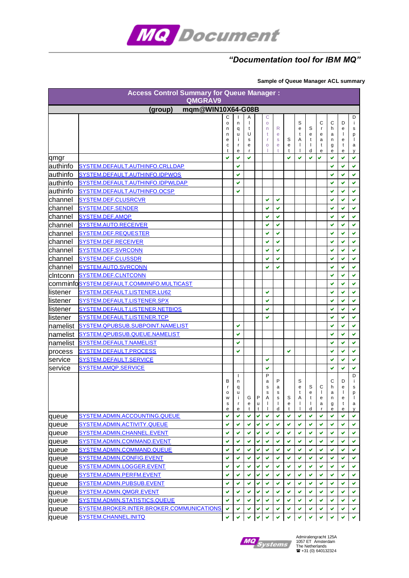

## *"Documentation tool for IBM MQ"*

## **Sample of Queue Manager ACL summary**

| <b>Access Control Summary for Queue Manager:</b><br>QMGRAV9 |                                           |                            |                                  |                                       |             |                                                 |                                                 |             |                                                  |                       |                                  |                            |                                  |                                       |
|-------------------------------------------------------------|-------------------------------------------|----------------------------|----------------------------------|---------------------------------------|-------------|-------------------------------------------------|-------------------------------------------------|-------------|--------------------------------------------------|-----------------------|----------------------------------|----------------------------|----------------------------------|---------------------------------------|
| mgm@WIN10X64-G08B<br>(group)                                |                                           |                            |                                  |                                       |             |                                                 |                                                 |             |                                                  |                       |                                  |                            |                                  |                                       |
|                                                             |                                           | С<br>o<br>n<br>n<br>e<br>С | n<br>q<br>u<br>÷<br>r            | Α<br>$\mathbf{I}$<br>t<br>U<br>s<br>e |             | C<br>$\circ$<br>n<br>t<br>r<br>$\circ$          | R<br>e<br>$\mathbf{s}$<br>e                     | S<br>e      | S<br>e<br>t<br>Α<br>J.                           | S<br>e<br>t<br>I.     | C<br>$\mathsf{r}$<br>e<br>a<br>t | C<br>h<br>a<br>n<br>g      | D<br>e<br>$\mathbf{I}$<br>e<br>t | D<br>Ť<br>s<br>p<br>$\mathbf{I}$<br>а |
|                                                             |                                           | t<br>✔                     | e<br>✔                           | r<br>V                                |             | ı                                               |                                                 | t<br>✔      | $\mathbf{I}$<br>V                                | d                     | e<br>✓                           | е<br>✔                     | e<br>✔                           | y<br>✔                                |
| qmgr<br>authinfo                                            | SYSTEM.DEFAULT.AUTHINFO.CRLLDAP           |                            | ✔                                |                                       |             |                                                 |                                                 |             |                                                  | ✔                     |                                  |                            | ✓                                | v                                     |
| lauthinfo                                                   | SYSTEM.DEFAULT.AUTHINFO.IDPWOS            |                            | ✔                                |                                       |             |                                                 |                                                 |             |                                                  |                       |                                  | ✔                          | ✔                                | V                                     |
| authinfo                                                    | SYSTEM.DEFAULT.AUTHINFO.IDPWLDAP          |                            | ✔                                |                                       |             |                                                 |                                                 |             |                                                  |                       |                                  |                            | ✔                                | v                                     |
| authinfo                                                    | SYSTEM.DEFAULT.AUTHINFO.OCSP              |                            | ✔                                |                                       |             |                                                 |                                                 |             |                                                  |                       |                                  |                            | ✔                                | V                                     |
| channel                                                     | SYSTEM.DEF.CLUSRCVR                       |                            |                                  |                                       |             | ✔                                               | ✔                                               |             |                                                  |                       |                                  | ✔                          | ✔                                | v                                     |
| lchannel                                                    | SYSTEM.DEF.SENDER                         |                            |                                  |                                       |             | ✔                                               | V                                               |             |                                                  |                       |                                  |                            | V                                | v                                     |
| lchannel                                                    | SYSTEM.DEF.AMQP                           |                            |                                  |                                       |             | ✔                                               | V                                               |             |                                                  |                       |                                  |                            | V                                | v                                     |
| channel                                                     | <b>SYSTEM.AUTO.RECEIVER</b>               |                            |                                  |                                       |             | ✔                                               | v                                               |             |                                                  |                       |                                  | ✔                          | ✔                                | v                                     |
| channel                                                     | <b>SYSTEM.DEF.REQUESTER</b>               |                            |                                  |                                       |             | ✔                                               | v                                               |             |                                                  |                       |                                  | ✔                          | ✔                                | ✔                                     |
| channel                                                     | SYSTEM.DEF.RECEIVER                       |                            |                                  |                                       |             | ✔                                               | ✔                                               |             |                                                  |                       |                                  | ✔                          | ✔                                | ✔                                     |
| lchannel                                                    | SYSTEM.DEF.SVRCONN                        |                            |                                  |                                       |             | ✔                                               | v                                               |             |                                                  |                       |                                  | ✔                          | ✔                                | v                                     |
| lchannel                                                    | <b>SYSTEM.DEF.CLUSSDR</b>                 |                            |                                  |                                       |             | ✔                                               | v                                               |             |                                                  |                       |                                  | ✔                          | V                                | v                                     |
| channel                                                     | SYSTEM.AUTO.SVRCONN                       |                            |                                  |                                       |             | ✔                                               | ✔                                               |             |                                                  |                       |                                  |                            | ✔                                | v                                     |
| cintconn                                                    | SYSTEM.DEF.CLNTCONN                       |                            |                                  |                                       |             |                                                 |                                                 |             |                                                  |                       |                                  | ✓                          | V                                | V                                     |
|                                                             | comminfoSYSTEM.DEFAULT.COMMINFO.MULTICAST |                            |                                  |                                       |             |                                                 |                                                 |             |                                                  |                       |                                  |                            | V                                | V                                     |
| llistener                                                   | SYSTEM.DEFAULT.LISTENER.LU62              |                            |                                  |                                       |             | ✔                                               |                                                 |             |                                                  |                       |                                  |                            | ✔                                | V                                     |
| llistener                                                   | SYSTEM.DEFAULT.LISTENER.SPX               |                            |                                  |                                       |             | ✓                                               |                                                 |             |                                                  |                       |                                  | v                          | V                                | V                                     |
| llistener                                                   | SYSTEM.DEFAULT.LISTENER.NETBIOS           |                            |                                  |                                       |             | ✓                                               |                                                 |             |                                                  |                       |                                  | ✔                          | V                                | v                                     |
| llistener                                                   | SYSTEM.DEFAULT.LISTENER.TCP               |                            |                                  |                                       |             | V                                               |                                                 |             |                                                  |                       |                                  |                            | V                                | V                                     |
| namelist                                                    | SYSTEM.QPUBSUB.SUBPOINT.NAMELIST          |                            | ✓                                |                                       |             |                                                 |                                                 |             |                                                  |                       |                                  | ✓                          | V                                | V                                     |
| Inamelist                                                   | SYSTEM.QPUBSUB.QUEUE.NAMELIST             |                            | ✔                                |                                       |             |                                                 |                                                 |             |                                                  |                       |                                  |                            | ✓                                | v                                     |
| namelist                                                    | SYSTEM.DEFAULT.NAMELIST                   |                            | ✓                                |                                       |             |                                                 |                                                 |             |                                                  |                       |                                  | ✓                          | ✓                                | V                                     |
| process                                                     | SYSTEM.DEFAULT.PROCESS                    |                            | ✔                                |                                       |             |                                                 |                                                 | ✔           |                                                  |                       |                                  | ✔                          | ✔                                | v                                     |
| service                                                     | SYSTEM.DEFAULT.SERVICE                    |                            |                                  |                                       |             | ✔                                               |                                                 |             |                                                  |                       |                                  |                            | ✔                                | v                                     |
| service                                                     | SYSTEM.AMQP.SERVICE                       |                            |                                  |                                       |             | ✔                                               |                                                 |             |                                                  |                       |                                  | ✔                          | ✓                                | V                                     |
|                                                             |                                           | В<br>r<br>o<br>W<br>s<br>е | H<br>n<br>q<br>u<br>т.<br>r<br>е | G<br>е<br>t                           | P<br>u<br>t | P<br>a<br>s<br>$\mathbf s$<br>Α<br>$\mathbf{I}$ | P<br>a<br>$\mathbf s$<br>s<br>$\mathbf{I}$<br>d | S<br>e<br>t | S<br>e<br>t<br>Α<br>$\mathbf{I}$<br>$\mathbf{I}$ | S<br>е<br>t<br>T<br>d | С<br>$\mathbf{I}$<br>е<br>a      | С<br>h<br>a<br>n<br>g<br>е | D<br>e<br>I.<br>е<br>t<br>е      | D<br>i.<br>s<br>p<br>a<br>V           |
| queue                                                       | SYSTEM.ADMIN.ACCOUNTING.QUEUE             | ✓                          | v                                | ✔                                     | ✔           | v                                               | ✔                                               | ✔           | v                                                | ✔                     | ✔                                | ✔                          | ✔                                | v                                     |
| queue                                                       | SYSTEM.ADMIN.ACTIVITY.QUEUE               | ✓                          | V                                | V                                     | V           | v                                               | V                                               | ✔           | V                                                | v                     | v                                | ✔                          | ✓                                | v                                     |
| queue                                                       | SYSTEM.ADMIN.CHANNEL.EVENT                | ✔                          | ✔                                | V                                     | ✔           | v                                               | v                                               | v           | V                                                | ✔                     | ✔                                | ✔                          | v                                | v                                     |
| queue                                                       | SYSTEM.ADMIN.COMMAND.EVENT                | V                          | v                                | V                                     | ✔           | ✔                                               | v                                               | ✔           | V                                                | v                     | ✔                                | V                          | v                                | v                                     |
| queue                                                       | SYSTEM.ADMIN.COMMAND.QUEUE                | ✔                          | ✔                                | ✔                                     | ✔           | ✔                                               | ✔                                               | ✔           | v                                                | ✔                     | ✔                                | ✔                          | ✔                                | v                                     |
| queue                                                       | SYSTEM.ADMIN.CONFIG.EVENT                 | ✓                          | v                                | v                                     | ✔           | ✓                                               | v                                               | ✔           | ✔                                                | v                     | ✔                                | ✔                          | v                                | v                                     |
| queue                                                       | SYSTEM.ADMIN.LOGGER.EVENT                 | ✔                          | v                                | ✔                                     | ✔           | ✔                                               | ✔                                               | ✔           | v                                                | v                     | ✔                                | ✔                          | ✔                                | ✓                                     |
| queue                                                       | SYSTEM.ADMIN.PERFM.EVENT                  | ✔                          | ✔                                | ✔                                     | ✔           | ✔                                               | ✔                                               | ✔           | v                                                | v                     | ✔                                | ✔                          | ✔                                | v                                     |
| queue                                                       | SYSTEM.ADMIN.PUBSUB.EVENT                 | ✔                          | ✔                                | ✔                                     | ✔           | ✔                                               | v                                               | ✔           | v                                                | v                     | ✔                                | ✔                          | ✔                                | v                                     |
| queue                                                       | SYSTEM.ADMIN.QMGR.EVENT                   | ✔                          | ✔                                | ✔                                     | ✔           | ✔                                               | v                                               | ✔           | v                                                | ✔                     | ✔                                |                            | ✔                                | v                                     |
| queue                                                       | SYSTEM.ADMIN.STATISTICS.QUEUE             | ✔                          | ✔                                | v                                     | ✔           | ✓                                               | v                                               | ✔           | v                                                | v                     | ✔                                | v                          | ✔                                | v                                     |
| queue                                                       | SYSTEM.BROKER.INTER.BROKER.COMMUNICATIONS | ✔                          | ✔                                | ✔                                     |             |                                                 | v                                               |             |                                                  |                       |                                  |                            |                                  | v                                     |
| queue                                                       | SYSTEM.CHANNEL.INITQ                      | v                          |                                  | V                                     | V           | $\checkmark$                                    | v                                               | V           | v                                                |                       | v                                |                            |                                  | v                                     |



Admiralengracht 125A 1057 ET Amsterdam The Netherlands +31 (0) 640132324